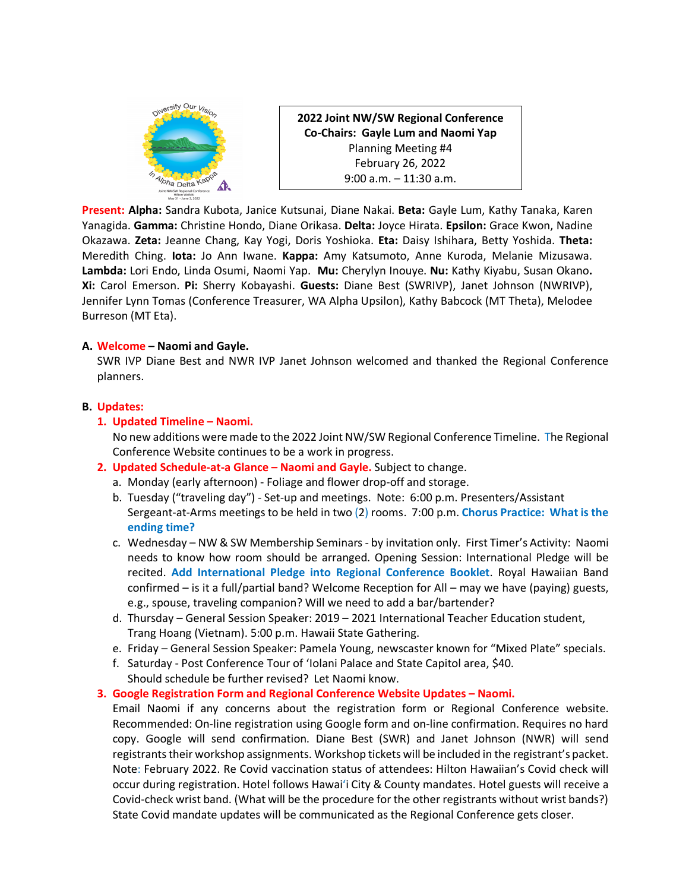

**2022 Joint NW/SW Regional Conference Co-Chairs: Gayle Lum and Naomi Yap** Planning Meeting #4 February 26, 2022 9:00 a.m. – 11:30 a.m.

**Present: Alpha:** Sandra Kubota, Janice Kutsunai, Diane Nakai. **Beta:** Gayle Lum, Kathy Tanaka, Karen Yanagida. **Gamma:** Christine Hondo, Diane Orikasa. **Delta:** Joyce Hirata. **Epsilon:** Grace Kwon, Nadine Okazawa. **Zeta:** Jeanne Chang, Kay Yogi, Doris Yoshioka. **Eta:** Daisy Ishihara, Betty Yoshida. **Theta:** Meredith Ching. **Iota:** Jo Ann Iwane. **Kappa:** Amy Katsumoto, Anne Kuroda, Melanie Mizusawa. **Lambda:** Lori Endo, Linda Osumi, Naomi Yap. **Mu:** Cherylyn Inouye. **Nu:** Kathy Kiyabu, Susan Okano**. Xi:** Carol Emerson. **Pi:** Sherry Kobayashi. **Guests:** Diane Best (SWRIVP), Janet Johnson (NWRIVP), Jennifer Lynn Tomas (Conference Treasurer, WA Alpha Upsilon), Kathy Babcock (MT Theta), Melodee Burreson (MT Eta).

### **A. Welcome – Naomi and Gayle.**

SWR IVP Diane Best and NWR IVP Janet Johnson welcomed and thanked the Regional Conference planners.

## **B. Updates:**

## **1. Updated Timeline – Naomi.**

No new additions were made to the 2022 Joint NW/SW Regional Conference Timeline. The Regional Conference Website continues to be a work in progress.

- **2. Updated Schedule-at-a Glance – Naomi and Gayle.** Subject to change.
	- a. Monday (early afternoon) Foliage and flower drop-off and storage.
	- b. Tuesday ("traveling day") Set-up and meetings. Note: 6:00 p.m. Presenters/Assistant Sergeant-at-Arms meetings to be held in two (2) rooms. 7:00 p.m. **Chorus Practice: What is the ending time?**
	- c. Wednesday NW & SW Membership Seminars by invitation only. First Timer's Activity: Naomi needs to know how room should be arranged. Opening Session: International Pledge will be recited. **Add International Pledge into Regional Conference Booklet**. Royal Hawaiian Band confirmed – is it a full/partial band? Welcome Reception for All – may we have (paying) guests, e.g., spouse, traveling companion? Will we need to add a bar/bartender?
	- d. Thursday General Session Speaker: 2019 2021 International Teacher Education student, Trang Hoang (Vietnam). 5:00 p.m. Hawaii State Gathering.
	- e. Friday General Session Speaker: Pamela Young, newscaster known for "Mixed Plate" specials.
	- f. Saturday Post Conference Tour of 'Iolani Palace and State Capitol area, \$40.
	- Should schedule be further revised? Let Naomi know.

# **3. Google Registration Form and Regional Conference Website Updates – Naomi.**

Email Naomi if any concerns about the registration form or Regional Conference website. Recommended: On-line registration using Google form and on-line confirmation. Requires no hard copy. Google will send confirmation. Diane Best (SWR) and Janet Johnson (NWR) will send registrants their workshop assignments. Workshop tickets will be included in the registrant's packet. Note: February 2022. Re Covid vaccination status of attendees: Hilton Hawaiian's Covid check will occur during registration. Hotel follows Hawaiʻi City & County mandates. Hotel guests will receive a Covid-check wrist band. (What will be the procedure for the other registrants without wrist bands?) State Covid mandate updates will be communicated as the Regional Conference gets closer.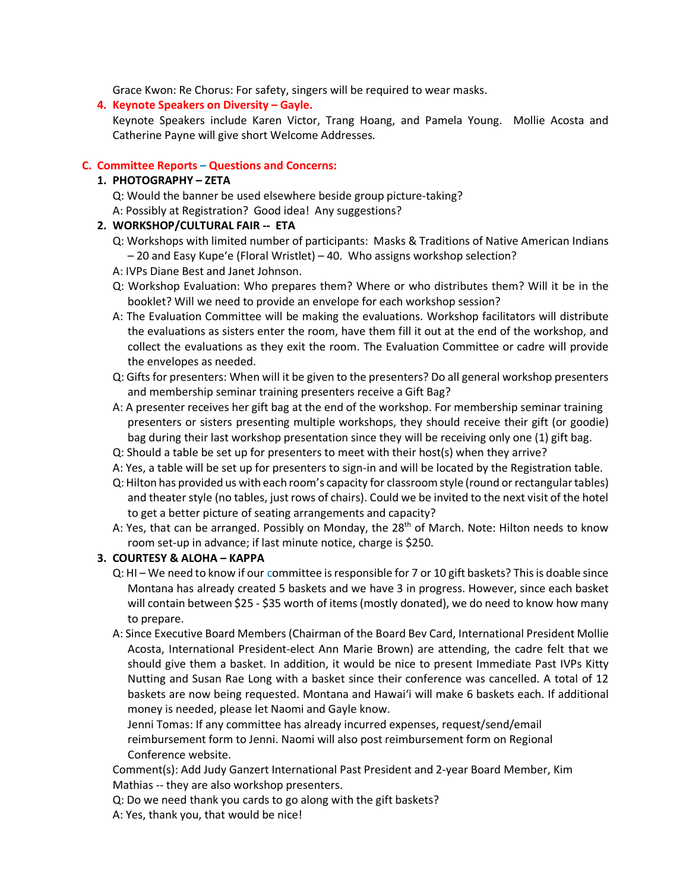Grace Kwon: Re Chorus: For safety, singers will be required to wear masks.

### **4. Keynote Speakers on Diversity – Gayle.**

Keynote Speakers include Karen Victor, Trang Hoang, and Pamela Young. Mollie Acosta and Catherine Payne will give short Welcome Addresses.

### **C. Committee Reports – Questions and Concerns:**

## **1. PHOTOGRAPHY – ZETA**

- Q: Would the banner be used elsewhere beside group picture-taking?
- A: Possibly at Registration? Good idea! Any suggestions?

## **2. WORKSHOP/CULTURAL FAIR -- ETA**

- Q: Workshops with limited number of participants: Masks & Traditions of Native American Indians – 20 and Easy Kupeʻe (Floral Wristlet) – 40. Who assigns workshop selection?
- A: IVPs Diane Best and Janet Johnson.
- Q: Workshop Evaluation: Who prepares them? Where or who distributes them? Will it be in the booklet? Will we need to provide an envelope for each workshop session?
- A: The Evaluation Committee will be making the evaluations. Workshop facilitators will distribute the evaluations as sisters enter the room, have them fill it out at the end of the workshop, and collect the evaluations as they exit the room. The Evaluation Committee or cadre will provide the envelopes as needed.
- Q: Gifts for presenters: When will it be given to the presenters? Do all general workshop presenters and membership seminar training presenters receive a Gift Bag?
- A: A presenter receives her gift bag at the end of the workshop. For membership seminar training presenters or sisters presenting multiple workshops, they should receive their gift (or goodie) bag during their last workshop presentation since they will be receiving only one (1) gift bag.
- Q: Should a table be set up for presenters to meet with their host(s) when they arrive?
- A: Yes, a table will be set up for presenters to sign-in and will be located by the Registration table.
- Q: Hilton has provided us with each room's capacity for classroom style (round or rectangular tables) and theater style (no tables, just rows of chairs). Could we be invited to the next visit of the hotel to get a better picture of seating arrangements and capacity?
- A: Yes, that can be arranged. Possibly on Monday, the 28<sup>th</sup> of March. Note: Hilton needs to know room set-up in advance; if last minute notice, charge is \$250.

### **3. COURTESY & ALOHA – KAPPA**

- Q: HI We need to know if our committee is responsible for 7 or 10 gift baskets? This is doable since Montana has already created 5 baskets and we have 3 in progress. However, since each basket will contain between \$25 - \$35 worth of items (mostly donated), we do need to know how many to prepare.
- A: Since Executive Board Members (Chairman of the Board Bev Card, International President Mollie Acosta, International President-elect Ann Marie Brown) are attending, the cadre felt that we should give them a basket. In addition, it would be nice to present Immediate Past IVPs Kitty Nutting and Susan Rae Long with a basket since their conference was cancelled. A total of 12 baskets are now being requested. Montana and Hawaiʻi will make 6 baskets each. If additional money is needed, please let Naomi and Gayle know.

Jenni Tomas: If any committee has already incurred expenses, request/send/email reimbursement form to Jenni. Naomi will also post reimbursement form on Regional Conference website.

Comment(s): Add Judy Ganzert International Past President and 2-year Board Member, Kim Mathias -- they are also workshop presenters.

Q: Do we need thank you cards to go along with the gift baskets?

A: Yes, thank you, that would be nice!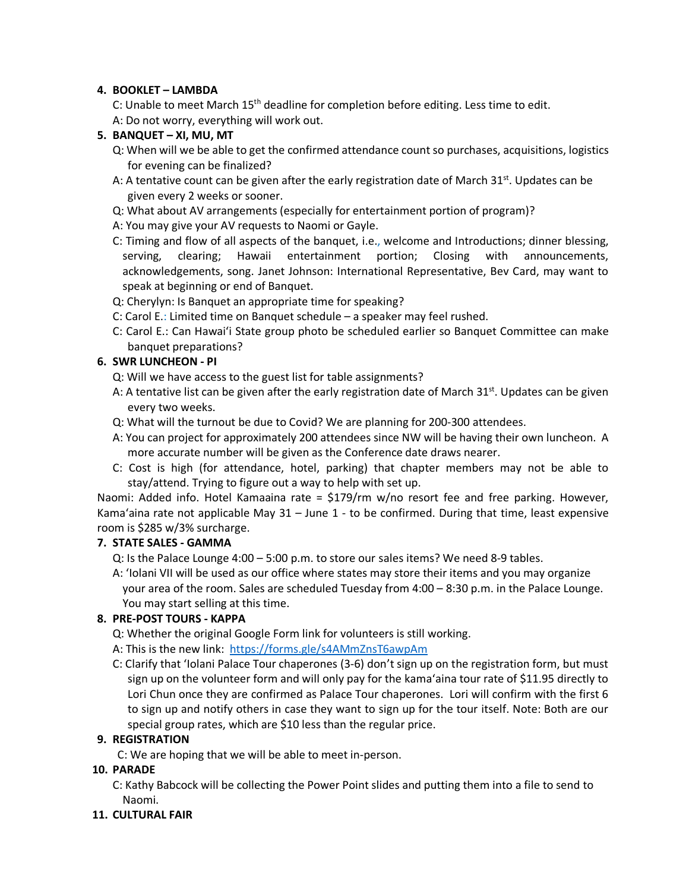# **4. BOOKLET – LAMBDA**

C: Unable to meet March 15<sup>th</sup> deadline for completion before editing. Less time to edit. A: Do not worry, everything will work out.

# **5. BANQUET – XI, MU, MT**

- Q: When will we be able to get the confirmed attendance countso purchases, acquisitions, logistics for evening can be finalized?
- A: A tentative count can be given after the early registration date of March  $31<sup>st</sup>$ . Updates can be given every 2 weeks or sooner.
- Q: What about AV arrangements (especially for entertainment portion of program)?
- A: You may give your AV requests to Naomi or Gayle.
- C: Timing and flow of all aspects of the banquet, i.e., welcome and Introductions; dinner blessing, serving, clearing; Hawaii entertainment portion; Closing with announcements, acknowledgements, song. Janet Johnson: International Representative, Bev Card, may want to speak at beginning or end of Banquet.
- Q: Cherylyn: Is Banquet an appropriate time for speaking?
- C: Carol E.: Limited time on Banquet schedule a speaker may feel rushed.
- C: Carol E.: Can Hawaiʻi State group photo be scheduled earlier so Banquet Committee can make banquet preparations?

## **6. SWR LUNCHEON - PI**

- Q: Will we have access to the guest list for table assignments?
- A: A tentative list can be given after the early registration date of March  $31^{st}$ . Updates can be given every two weeks.
- Q: What will the turnout be due to Covid? We are planning for 200-300 attendees.
- A: You can project for approximately 200 attendees since NW will be having their own luncheon. A more accurate number will be given as the Conference date draws nearer.
- C: Cost is high (for attendance, hotel, parking) that chapter members may not be able to stay/attend. Trying to figure out a way to help with set up.

Naomi: Added info. Hotel Kamaaina rate = \$179/rm w/no resort fee and free parking. However, Kamaʻaina rate not applicable May 31 – June 1 - to be confirmed. During that time, least expensive room is \$285 w/3% surcharge.

### **7. STATE SALES - GAMMA**

Q: Is the Palace Lounge 4:00 – 5:00 p.m. to store our sales items? We need 8-9 tables.

A: ʻIolani VII will be used as our office where states may store their items and you may organize your area of the room. Sales are scheduled Tuesday from 4:00 – 8:30 p.m. in the Palace Lounge. You may start selling at this time.

# **8. PRE-POST TOURS - KAPPA**

- Q: Whether the original Google Form link for volunteers is still working.
- A: This is the new link: https://forms.gle/s4AMmZnsT6awpAm
- C: Clarify that ʻIolani Palace Tour chaperones (3-6) don't sign up on the registration form, but must sign up on the volunteer form and will only pay for the kamaʻaina tour rate of \$11.95 directly to Lori Chun once they are confirmed as Palace Tour chaperones. Lori will confirm with the first 6 to sign up and notify others in case they want to sign up for the tour itself. Note: Both are our special group rates, which are \$10 less than the regular price.

### **9. REGISTRATION**

C: We are hoping that we will be able to meet in-person.

# **10. PARADE**

- C: Kathy Babcock will be collecting the Power Point slides and putting them into a file to send to Naomi.
- **11. CULTURAL FAIR**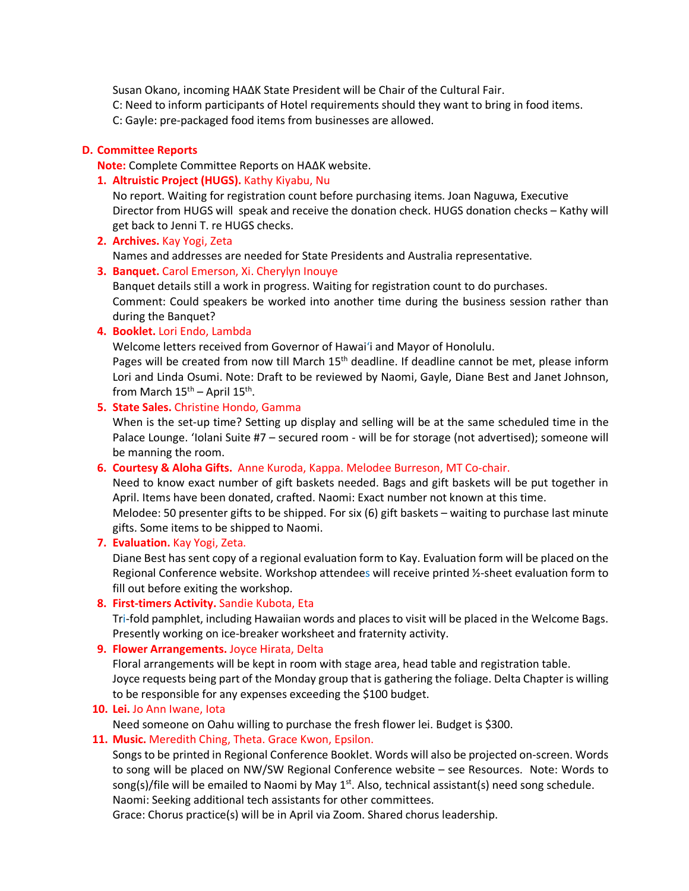Susan Okano, incoming HA∆K State President will be Chair of the Cultural Fair.

C: Need to inform participants of Hotel requirements should they want to bring in food items.

C: Gayle: pre-packaged food items from businesses are allowed.

## **D. Committee Reports**

**Note:** Complete Committee Reports on HA∆K website.

## **1. Altruistic Project (HUGS).** Kathy Kiyabu, Nu

No report. Waiting for registration count before purchasing items. Joan Naguwa, Executive Director from HUGS will speak and receive the donation check. HUGS donation checks – Kathy will get back to Jenni T. re HUGS checks.

**2. Archives.** Kay Yogi, Zeta

Names and addresses are needed for State Presidents and Australia representative.

## **3. Banquet.** Carol Emerson, Xi. Cherylyn Inouye

Banquet details still a work in progress. Waiting for registration count to do purchases. Comment: Could speakers be worked into another time during the business session rather than during the Banquet?

### **4. Booklet.** Lori Endo, Lambda

Welcome letters received from Governor of Hawaiʻi and Mayor of Honolulu.

Pages will be created from now till March 15<sup>th</sup> deadline. If deadline cannot be met, please inform Lori and Linda Osumi. Note: Draft to be reviewed by Naomi, Gayle, Diane Best and Janet Johnson, from March  $15^{\text{th}}$  – April  $15^{\text{th}}$ .

## **5. State Sales.** Christine Hondo, Gamma

When is the set-up time? Setting up display and selling will be at the same scheduled time in the Palace Lounge. ʻIolani Suite #7 – secured room - will be for storage (not advertised); someone will be manning the room.

# **6. Courtesy & Aloha Gifts.** Anne Kuroda, Kappa. Melodee Burreson, MT Co-chair.

Need to know exact number of gift baskets needed. Bags and gift baskets will be put together in April. Items have been donated, crafted. Naomi: Exact number not known at this time.

Melodee: 50 presenter gifts to be shipped. For six (6) gift baskets – waiting to purchase last minute gifts. Some items to be shipped to Naomi.

### **7. Evaluation.** Kay Yogi, Zeta.

Diane Best has sent copy of a regional evaluation form to Kay. Evaluation form will be placed on the Regional Conference website. Workshop attendees will receive printed 1/2-sheet evaluation form to fill out before exiting the workshop.

# **8. First-timers Activity.** Sandie Kubota, Eta

Tri-fold pamphlet, including Hawaiian words and places to visit will be placed in the Welcome Bags. Presently working on ice-breaker worksheet and fraternity activity.

# **9. Flower Arrangements.** Joyce Hirata, Delta

Floral arrangements will be kept in room with stage area, head table and registration table. Joyce requests being part of the Monday group that is gathering the foliage. Delta Chapter is willing to be responsible for any expenses exceeding the \$100 budget.

# **10. Lei.** Jo Ann Iwane, Iota

Need someone on Oahu willing to purchase the fresh flower lei. Budget is \$300.

# **11. Music.** Meredith Ching, Theta. Grace Kwon, Epsilon.

Songs to be printed in Regional Conference Booklet. Words will also be projected on-screen. Words to song will be placed on NW/SW Regional Conference website – see Resources. Note: Words to song(s)/file will be emailed to Naomi by May  $1<sup>st</sup>$ . Also, technical assistant(s) need song schedule. Naomi: Seeking additional tech assistants for other committees.

Grace: Chorus practice(s) will be in April via Zoom. Shared chorus leadership.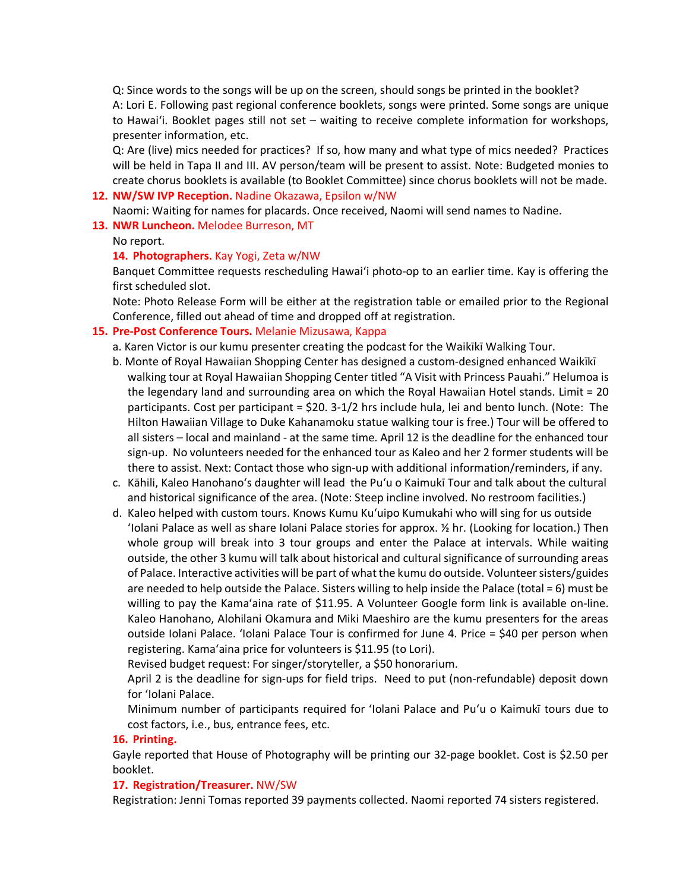Q: Since words to the songs will be up on the screen, should songs be printed in the booklet? A: Lori E. Following past regional conference booklets, songs were printed. Some songs are unique to Hawaiʻi. Booklet pages still not set – waiting to receive complete information for workshops, presenter information, etc.

Q: Are (live) mics needed for practices? If so, how many and what type of mics needed? Practices will be held in Tapa II and III. AV person/team will be present to assist. Note: Budgeted monies to create chorus booklets is available (to Booklet Committee) since chorus booklets will not be made.

#### **12. NW/SW IVP Reception.** Nadine Okazawa, Epsilon w/NW

Naomi: Waiting for names for placards. Once received, Naomi will send names to Nadine.

**13. NWR Luncheon.** Melodee Burreson, MT

No report.

#### **14. Photographers.** Kay Yogi, Zeta w/NW

Banquet Committee requests rescheduling Hawaiʻi photo-op to an earlier time. Kay is offering the first scheduled slot.

Note: Photo Release Form will be either at the registration table or emailed prior to the Regional Conference, filled out ahead of time and dropped off at registration.

#### **15. Pre-Post Conference Tours.** Melanie Mizusawa, Kappa

- a. Karen Victor is our kumu presenter creating the podcast for the Waikīkī Walking Tour.
- b. Monte of Royal Hawaiian Shopping Center has designed a custom-designed enhanced Waikīkī walking tour at Royal Hawaiian Shopping Center titled "A Visit with Princess Pauahi." Helumoa is the legendary land and surrounding area on which the Royal Hawaiian Hotel stands. Limit = 20 participants. Cost per participant = \$20. 3-1/2 hrs include hula, lei and bento lunch. (Note: The Hilton Hawaiian Village to Duke Kahanamoku statue walking tour is free.) Tour will be offered to all sisters – local and mainland - at the same time. April 12 is the deadline for the enhanced tour sign-up. No volunteers needed for the enhanced tour as Kaleo and her 2 former students will be there to assist. Next: Contact those who sign-up with additional information/reminders, if any.
- c. Kāhili, Kaleo Hanohanoʻs daughter will lead the Puʻu o Kaimukī Tour and talk about the cultural and historical significance of the area. (Note: Steep incline involved. No restroom facilities.)
- d. Kaleo helped with custom tours. Knows Kumu Kuʻuipo Kumukahi who will sing for us outside ʻIolani Palace as well as share Iolani Palace stories for approx. ½ hr. (Looking for location.) Then whole group will break into 3 tour groups and enter the Palace at intervals. While waiting outside, the other 3 kumu will talk about historical and cultural significance of surrounding areas of Palace. Interactive activities will be part of what the kumu do outside. Volunteer sisters/guides are needed to help outside the Palace. Sisters willing to help inside the Palace (total = 6) must be willing to pay the Kamaʻaina rate of \$11.95. A Volunteer Google form link is available on-line. Kaleo Hanohano, Alohilani Okamura and Miki Maeshiro are the kumu presenters for the areas outside Iolani Palace. 'Iolani Palace Tour is confirmed for June 4. Price = \$40 per person when registering. Kamaʻaina price for volunteers is \$11.95 (to Lori).

Revised budget request: For singer/storyteller, a \$50 honorarium.

April 2 is the deadline for sign-ups for field trips. Need to put (non-refundable) deposit down for ʻIolani Palace.

Minimum number of participants required for ʻIolani Palace and Puʻu o Kaimukī tours due to cost factors, i.e., bus, entrance fees, etc.

#### **16. Printing.**

Gayle reported that House of Photography will be printing our 32-page booklet. Cost is \$2.50 per booklet.

### **17. Registration/Treasurer.** NW/SW

Registration: Jenni Tomas reported 39 payments collected. Naomi reported 74 sisters registered.